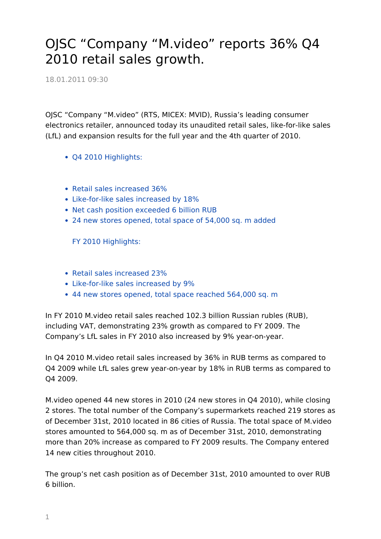## OJSC "Company "M.video" reports 36% Q4 2010 retail sales growth.

18.01.2011 09:30

OJSC "Company "M.video" (RTS, MICEX: MVID), Russia's leading consumer electronics retailer, announced today its unaudited retail sales, like-for-like sales (LfL) and expansion results for the full year and the 4th quarter of 2010.

- Q4 2010 Highlights:
- Retail sales increased 36%
- Like-for-like sales increased by 18%
- Net cash position exceeded 6 billion RUB
- 24 new stores opened, total space of 54,000 sq. m added

FY 2010 Highlights:

- Retail sales increased 23%
- Like-for-like sales increased by 9%
- 44 new stores opened, total space reached 564,000 sq. m

In FY 2010 M.video retail sales reached 102.3 billion Russian rubles (RUB), including VAT, demonstrating 23% growth as compared to FY 2009. The Company's LfL sales in FY 2010 also increased by 9% year-on-year.

In Q4 2010 M.video retail sales increased by 36% in RUB terms as compared to Q4 2009 while LfL sales grew year-on-year by 18% in RUB terms as compared to Q4 2009.

M.video opened 44 new stores in 2010 (24 new stores in Q4 2010), while closing 2 stores. The total number of the Company's supermarkets reached 219 stores as of December 31st, 2010 located in 86 cities of Russia. The total space of M.video stores amounted to 564,000 sq. m as of December 31st, 2010, demonstrating more than 20% increase as compared to FY 2009 results. The Company entered 14 new cities throughout 2010.

The group's net cash position as of December 31st, 2010 amounted to over RUB 6 billion.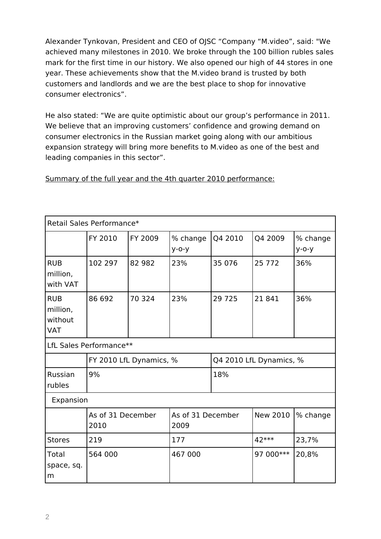Alexander Tynkovan, President and CEO of OJSC "Company "M.video", said: "We achieved many milestones in 2010. We broke through the 100 billion rubles sales mark for the first time in our history. We also opened our high of 44 stores in one year. These achievements show that the M.video brand is trusted by both customers and landlords and we are the best place to shop for innovative consumer electronics".

He also stated: "We are quite optimistic about our group's performance in 2011. We believe that an improving customers' confidence and growing demand on consumer electronics in the Russian market going along with our ambitious expansion strategy will bring more benefits to M.video as one of the best and leading companies in this sector".

|  |  |  | Summary of the full year and the 4th quarter 2010 performance: |
|--|--|--|----------------------------------------------------------------|
|  |  |  |                                                                |

| Retail Sales Performance*                       |                           |         |                           |                         |           |                      |  |  |  |  |  |
|-------------------------------------------------|---------------------------|---------|---------------------------|-------------------------|-----------|----------------------|--|--|--|--|--|
|                                                 | FY 2010                   | FY 2009 | % change<br>$y$ -o-y      | Q4 2010                 | Q4 2009   | % change<br>$y$ -o-y |  |  |  |  |  |
| <b>RUB</b><br>million,<br>with VAT              | 102 297                   | 82 982  | 23%                       | 35 076                  | 25 7 7 2  | 36%                  |  |  |  |  |  |
| <b>RUB</b><br>million,<br>without<br><b>VAT</b> | 86 692                    | 70 324  | 23%                       | 29 7 25                 | 21841     | 36%                  |  |  |  |  |  |
| LfL Sales Performance**                         |                           |         |                           |                         |           |                      |  |  |  |  |  |
|                                                 | FY 2010 LfL Dynamics, %   |         |                           | Q4 2010 LfL Dynamics, % |           |                      |  |  |  |  |  |
| Russian<br>rubles                               | 9%                        |         |                           | 18%                     |           |                      |  |  |  |  |  |
| Expansion                                       |                           |         |                           |                         |           |                      |  |  |  |  |  |
|                                                 | As of 31 December<br>2010 |         | As of 31 December<br>2009 |                         | New 2010  | % change             |  |  |  |  |  |
| <b>Stores</b>                                   | 219                       |         | 177                       |                         | 42 ***    | 23,7%                |  |  |  |  |  |
| Total<br>space, sq.<br>m                        | 564 000                   |         | 467 000                   |                         | 97 000*** | 20,8%                |  |  |  |  |  |